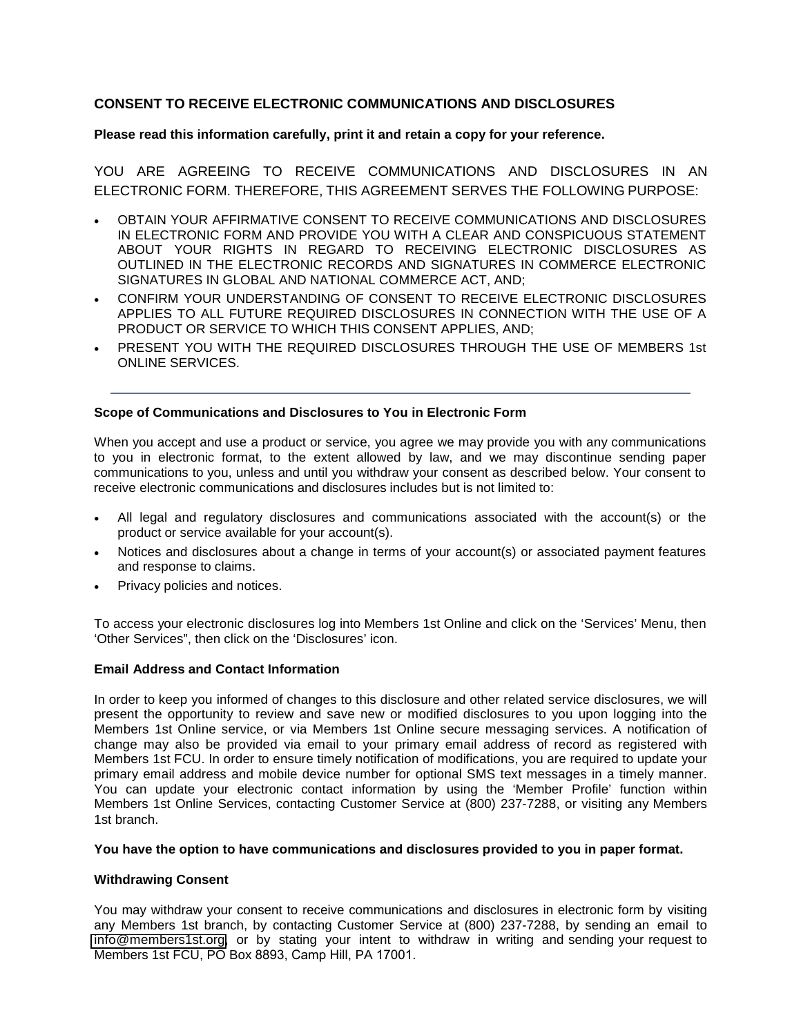# **CONSENT TO RECEIVE ELECTRONIC COMMUNICATIONS AND DISCLOSURES**

### **Please read this information carefully, print it and retain a copy for your reference.**

YOU ARE AGREEING TO RECEIVE COMMUNICATIONS AND DISCLOSURES IN AN ELECTRONIC FORM. THEREFORE, THIS AGREEMENT SERVES THE FOLLOWING PURPOSE:

- OBTAIN YOUR AFFIRMATIVE CONSENT TO RECEIVE COMMUNICATIONS AND DISCLOSURES IN ELECTRONIC FORM AND PROVIDE YOU WITH A CLEAR AND CONSPICUOUS STATEMENT ABOUT YOUR RIGHTS IN REGARD TO RECEIVING ELECTRONIC DISCLOSURES AS OUTLINED IN THE ELECTRONIC RECORDS AND SIGNATURES IN COMMERCE ELECTRONIC SIGNATURES IN GLOBAL AND NATIONAL COMMERCE ACT, AND;
- CONFIRM YOUR UNDERSTANDING OF CONSENT TO RECEIVE ELECTRONIC DISCLOSURES APPLIES TO ALL FUTURE REQUIRED DISCLOSURES IN CONNECTION WITH THE USE OF A PRODUCT OR SERVICE TO WHICH THIS CONSENT APPLIES, AND;
- PRESENT YOU WITH THE REQUIRED DISCLOSURES THROUGH THE USE OF MEMBERS 1st ONLINE SERVICES.

#### **Scope of Communications and Disclosures to You in Electronic Form**

When you accept and use a product or service, you agree we may provide you with any communications to you in electronic format, to the extent allowed by law, and we may discontinue sending paper communications to you, unless and until you withdraw your consent as described below. Your consent to receive electronic communications and disclosures includes but is not limited to:

- All legal and regulatory disclosures and communications associated with the account(s) or the product or service available for your account(s).
- Notices and disclosures about a change in terms of your account(s) or associated payment features and response to claims.
- Privacy policies and notices.

To access your electronic disclosures log into Members 1st Online and click on the 'Services' Menu, then 'Other Services", then click on the 'Disclosures' icon.

## **Email Address and Contact Information**

In order to keep you informed of changes to this disclosure and other related service disclosures, we will present the opportunity to review and save new or modified disclosures to you upon logging into the Members 1st Online service, or via Members 1st Online secure messaging services. A notification of change may also be provided via email to your primary email address of record as registered with Members 1st FCU. In order to ensure timely notification of modifications, you are required to update your primary email address and mobile device number for optional SMS text messages in a timely manner. You can update your electronic contact information by using the 'Member Profile' function within Members 1st Online Services, contacting Customer Service at (800) 237-7288, or visiting any Members 1st branch.

#### **You have the option to have communications and disclosures provided to you in paper format.**

#### **Withdrawing Consent**

You may withdraw your consent to receive communications and disclosures in electronic form by visiting any Members 1st branch, by contacting Customer Service at (800) 237-7288, by sending an email to info[@members1st.org,](mailto:info@members1st.org) or by stating your intent to withdraw in writing and sending your request to Members 1st FCU, PO Box 8893, Camp Hill, PA 17001.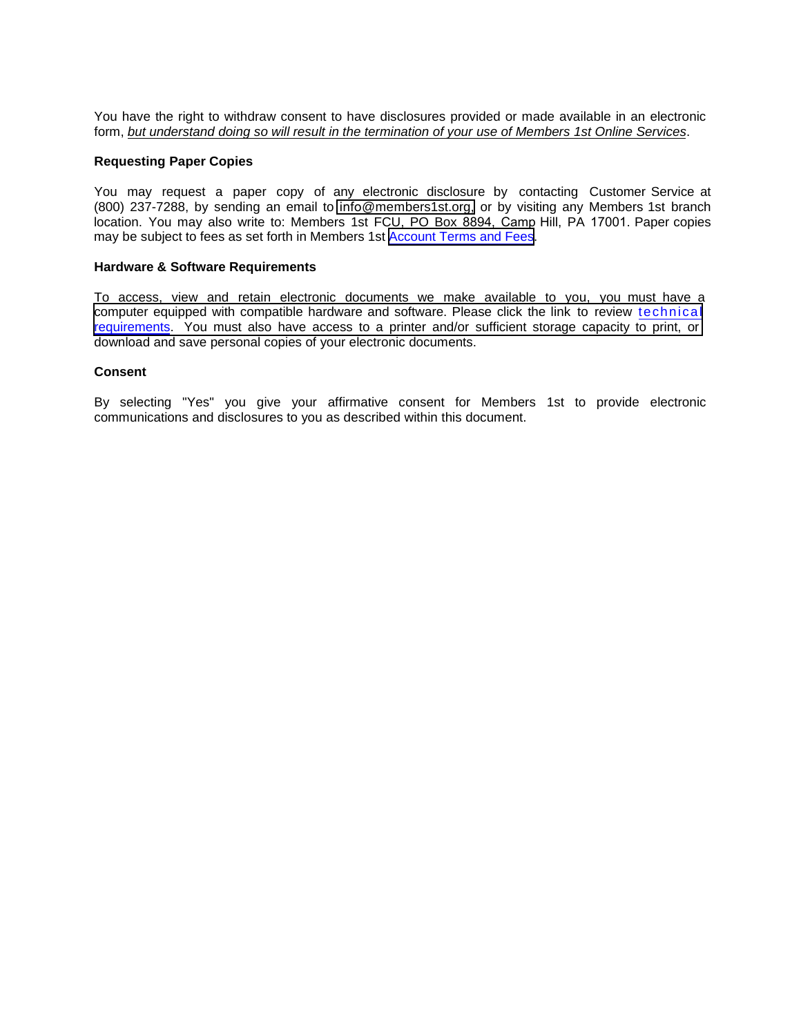You have the right to withdraw consent to have disclosures provided or made available in an electronic form, *but understand doing so will result in the termination of your use of Members 1st Online Services*.

#### **Requesting Paper Copies**

You may request a paper copy of any electronic disclosure by contacting Customer Service at (800) 237-7288, by sending an email to info[@members1st.org,](mailto:info@members1st.org) or by visiting any Members 1st branch location. You may also write to: Members 1st FCU, PO Box 8894, Camp Hill, PA 17001. Paper copies may be subject to fees as set forth in Members 1st [Account Terms and Fees](https://www.members1st.org/ask-us/rate-center/truth-in-savings-and-rate-and-fee-disclosures#service-charges).

#### **Hardware & Software Requirements**

To access, view and retain electronic documents we make available to you, you must have a computer equipped with compatible hardware and software. Please click the link to review [technical](https://www.members1st.org/products-services/electronic-mobile-services/members-1st-secure-login/) [requirements.](https://www.members1st.org/products-services/electronic-mobile-services/members-1st-secure-login/) You must also have access to a [printer and/or sufficient storage capacity to print,](https://www.members1st.org/about-us/digital-banking/secure-login) or download and save personal copies of your electronic documents.

#### **Consent**

By selecting "Yes" you give your affirmative consent for Members 1st to provide electronic communications and disclosures to you as described within this document.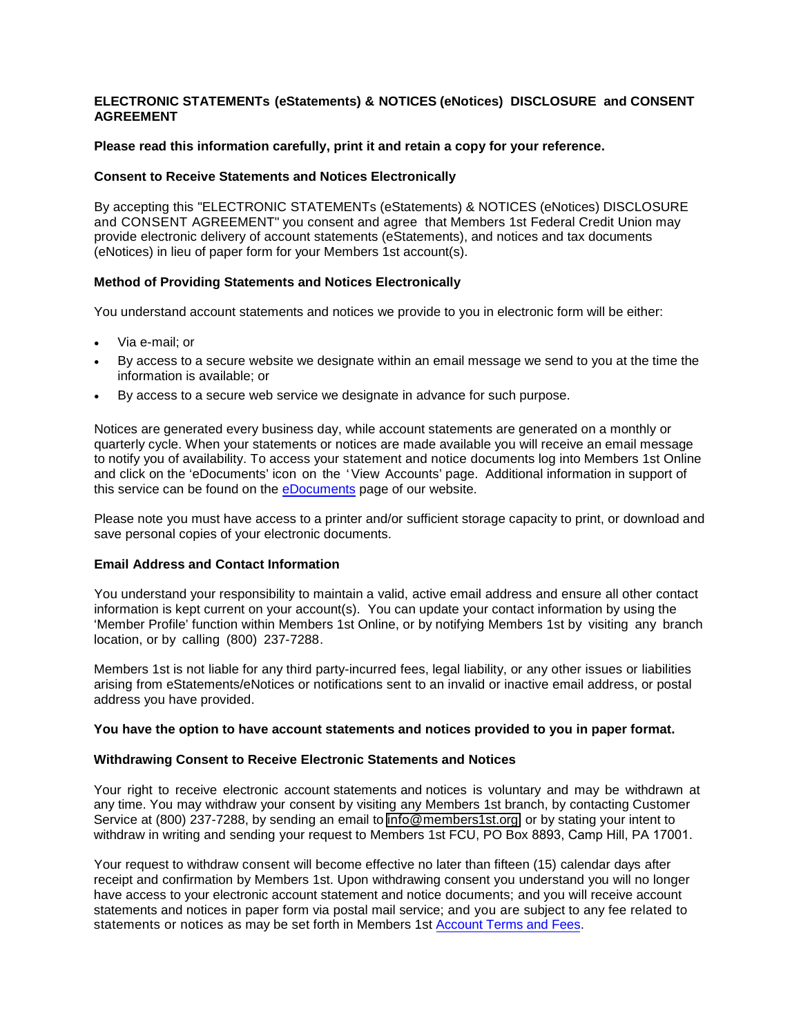# **ELECTRONIC STATEMENTs (eStatements) & NOTICES (eNotices) DISCLOSURE and CONSENT AGREEMENT**

### **Please read this information carefully, print it and retain a copy for your reference.**

### **Consent to Receive Statements and Notices Electronically**

By accepting this "ELECTRONIC STATEMENTs (eStatements) & NOTICES (eNotices) DISCLOSURE and CONSENT AGREEMENT" you consent and agree that Members 1st Federal Credit Union may provide electronic delivery of account statements (eStatements), and notices and tax documents (eNotices) in lieu of paper form for your Members 1st account(s).

## **Method of Providing Statements and Notices Electronically**

You understand account statements and notices we provide to you in electronic form will be either:

- Via e-mail; or
- By access to a secure website we designate within an email message we send to you at the time the information is available; or
- By access to a secure web service we designate in advance for such purpose.

Notices are generated every business day, while account statements are generated on a monthly or quarterly cycle. When your statements or notices are made available you will receive an email message to notify you of availability. To access your statement and notice documents log into Members 1st Online and click on the 'eDocuments' icon on the 'View Accounts' page. Additional information in support of this service can be found on the [eDocuments](https://www.members1st.org/products-services/electronic-mobile-services/edocuments/) page of our website.

Please note you must have access to a printer and/or sufficient storage capacity to print, or download and save personal copies of your electronic documents.

#### **Email Address and Contact Information**

You understand your responsibility to maintain a valid, active email address and ensure all other contact information is kept current on your account(s). You can update your contact information by using the 'Member Profile' function within Members 1st Online, or by notifying Members 1st by visiting any branch location, or by calling (800) 237-7288.

Members 1st is not liable for any third party-incurred fees, legal liability, or any other issues or liabilities arising from eStatements/eNotices or notifications sent to an invalid or inactive email address, or postal address you have provided.

#### **You have the option to have account statements and notices provided to you in paper format.**

#### **Withdrawing Consent to Receive Electronic Statements and Notices**

Your right to receive electronic account statements and notices is voluntary and may be withdrawn at any time. You may withdraw your consent by visiting any Members 1st branch, by contacting Customer Service at (800) 237-7288, by sending an email to info[@members1st.org,](mailto:info@members1st.org) or by stating your intent to withdraw in writing and sending your request to Members 1st FCU, PO Box 8893, Camp Hill, PA 17001.

Your request to withdraw consent will become effective no later than fifteen (15) calendar days after receipt and confirmation by Members 1st. Upon withdrawing consent you understand you will no longer have access to your electronic account statement and notice documents; and you will receive account statements and notices in paper form via postal mail service; and you are subject to any fee related to statements or notices as may be set forth in Members 1st [Account Terms](https://www.members1st.org/consumer-service-charges) and Fees.